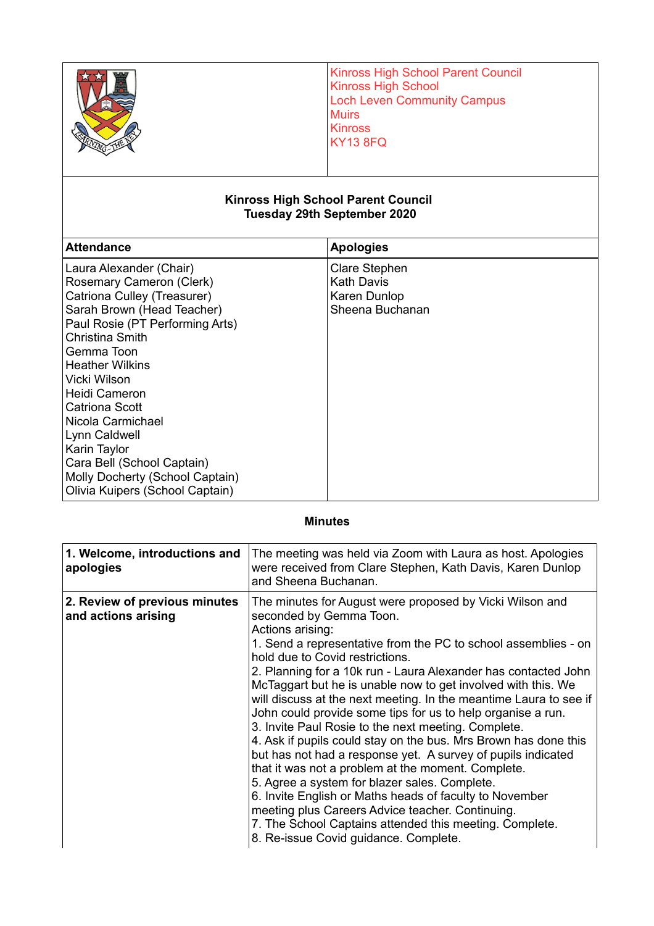|                                                                                                                                                     | <b>Kinross High School Parent Council</b><br><b>Kinross High School</b><br><b>Loch Leven Community Campus</b><br><b>Muirs</b><br><b>Kinross</b><br><b>KY13 8FQ</b> |  |  |
|-----------------------------------------------------------------------------------------------------------------------------------------------------|--------------------------------------------------------------------------------------------------------------------------------------------------------------------|--|--|
| <b>Kinross High School Parent Council</b><br><b>Tuesday 29th September 2020</b>                                                                     |                                                                                                                                                                    |  |  |
| <b>Attendance</b>                                                                                                                                   | <b>Apologies</b>                                                                                                                                                   |  |  |
| Laura Alexander (Chair)<br>Rosemary Cameron (Clerk)<br>Catriona Culley (Treasurer)<br>Sarah Brown (Head Teacher)<br>Paul Rosie (PT Performing Arts) | Clare Stephen<br><b>Kath Davis</b><br>Karen Dunlop<br>Sheena Buchanan                                                                                              |  |  |

| Molly Docherty (School Captain) |  |  |  |
|---------------------------------|--|--|--|
| Olivia Kuipers (School Captain) |  |  |  |
|                                 |  |  |  |

Christina Smith Gemma Toon Heather Wilkins

## **Minutes**

| 1. Welcome, introductions and<br>apologies           | The meeting was held via Zoom with Laura as host. Apologies<br>were received from Clare Stephen, Kath Davis, Karen Dunlop<br>and Sheena Buchanan.                                                                                                                                                                                                                                                                                                                                                                                                                                                                                                                                                                                                                                                                                                                                                                                                                                                      |
|------------------------------------------------------|--------------------------------------------------------------------------------------------------------------------------------------------------------------------------------------------------------------------------------------------------------------------------------------------------------------------------------------------------------------------------------------------------------------------------------------------------------------------------------------------------------------------------------------------------------------------------------------------------------------------------------------------------------------------------------------------------------------------------------------------------------------------------------------------------------------------------------------------------------------------------------------------------------------------------------------------------------------------------------------------------------|
| 2. Review of previous minutes<br>and actions arising | The minutes for August were proposed by Vicki Wilson and<br>seconded by Gemma Toon.<br>Actions arising:<br>1. Send a representative from the PC to school assemblies - on<br>hold due to Covid restrictions.<br>2. Planning for a 10k run - Laura Alexander has contacted John<br>McTaggart but he is unable now to get involved with this. We<br>will discuss at the next meeting. In the meantime Laura to see if<br>John could provide some tips for us to help organise a run.<br>3. Invite Paul Rosie to the next meeting. Complete.<br>4. Ask if pupils could stay on the bus. Mrs Brown has done this<br>but has not had a response yet. A survey of pupils indicated<br>that it was not a problem at the moment. Complete.<br>5. Agree a system for blazer sales. Complete.<br>6. Invite English or Maths heads of faculty to November<br>meeting plus Careers Advice teacher. Continuing.<br>7. The School Captains attended this meeting. Complete.<br>8. Re-issue Covid guidance. Complete. |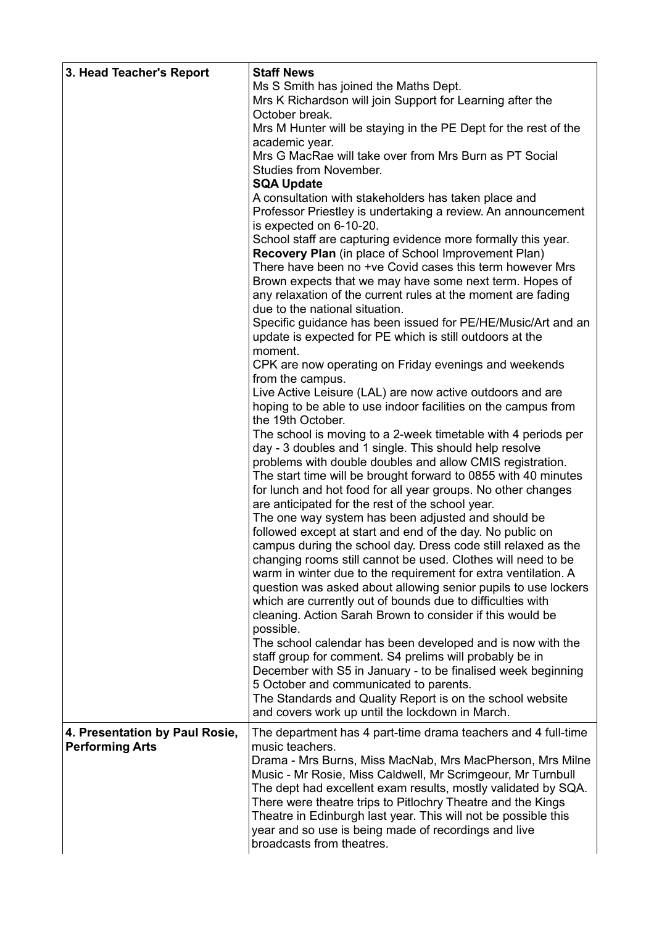| 3. Head Teacher's Report                                 | <b>Staff News</b><br>Ms S Smith has joined the Maths Dept.<br>Mrs K Richardson will join Support for Learning after the<br>October break.                                                                                                                                                                                                                                                                                                                                                                                                                                                                                                                                                                                                                                                                                                                                                                                                                                                                                                                                                                                                                                                                                                                     |
|----------------------------------------------------------|---------------------------------------------------------------------------------------------------------------------------------------------------------------------------------------------------------------------------------------------------------------------------------------------------------------------------------------------------------------------------------------------------------------------------------------------------------------------------------------------------------------------------------------------------------------------------------------------------------------------------------------------------------------------------------------------------------------------------------------------------------------------------------------------------------------------------------------------------------------------------------------------------------------------------------------------------------------------------------------------------------------------------------------------------------------------------------------------------------------------------------------------------------------------------------------------------------------------------------------------------------------|
|                                                          | Mrs M Hunter will be staying in the PE Dept for the rest of the<br>academic year.                                                                                                                                                                                                                                                                                                                                                                                                                                                                                                                                                                                                                                                                                                                                                                                                                                                                                                                                                                                                                                                                                                                                                                             |
|                                                          | Mrs G MacRae will take over from Mrs Burn as PT Social<br><b>Studies from November.</b><br><b>SQA Update</b>                                                                                                                                                                                                                                                                                                                                                                                                                                                                                                                                                                                                                                                                                                                                                                                                                                                                                                                                                                                                                                                                                                                                                  |
|                                                          | A consultation with stakeholders has taken place and<br>Professor Priestley is undertaking a review. An announcement<br>is expected on 6-10-20.                                                                                                                                                                                                                                                                                                                                                                                                                                                                                                                                                                                                                                                                                                                                                                                                                                                                                                                                                                                                                                                                                                               |
|                                                          | School staff are capturing evidence more formally this year.<br>Recovery Plan (in place of School Improvement Plan)<br>There have been no +ve Covid cases this term however Mrs<br>Brown expects that we may have some next term. Hopes of<br>any relaxation of the current rules at the moment are fading<br>due to the national situation.                                                                                                                                                                                                                                                                                                                                                                                                                                                                                                                                                                                                                                                                                                                                                                                                                                                                                                                  |
|                                                          | Specific guidance has been issued for PE/HE/Music/Art and an<br>update is expected for PE which is still outdoors at the<br>moment.                                                                                                                                                                                                                                                                                                                                                                                                                                                                                                                                                                                                                                                                                                                                                                                                                                                                                                                                                                                                                                                                                                                           |
|                                                          | CPK are now operating on Friday evenings and weekends<br>from the campus.                                                                                                                                                                                                                                                                                                                                                                                                                                                                                                                                                                                                                                                                                                                                                                                                                                                                                                                                                                                                                                                                                                                                                                                     |
|                                                          | Live Active Leisure (LAL) are now active outdoors and are<br>hoping to be able to use indoor facilities on the campus from<br>the 19th October.                                                                                                                                                                                                                                                                                                                                                                                                                                                                                                                                                                                                                                                                                                                                                                                                                                                                                                                                                                                                                                                                                                               |
|                                                          | The school is moving to a 2-week timetable with 4 periods per<br>day - 3 doubles and 1 single. This should help resolve<br>problems with double doubles and allow CMIS registration.<br>The start time will be brought forward to 0855 with 40 minutes<br>for lunch and hot food for all year groups. No other changes<br>are anticipated for the rest of the school year.<br>The one way system has been adjusted and should be<br>followed except at start and end of the day. No public on<br>campus during the school day. Dress code still relaxed as the<br>changing rooms still cannot be used. Clothes will need to be<br>warm in winter due to the requirement for extra ventilation. A<br>question was asked about allowing senior pupils to use lockers<br>which are currently out of bounds due to difficulties with<br>cleaning. Action Sarah Brown to consider if this would be<br>possible.<br>The school calendar has been developed and is now with the<br>staff group for comment. S4 prelims will probably be in<br>December with S5 in January - to be finalised week beginning<br>5 October and communicated to parents.<br>The Standards and Quality Report is on the school website<br>and covers work up until the lockdown in March. |
| 4. Presentation by Paul Rosie,<br><b>Performing Arts</b> | The department has 4 part-time drama teachers and 4 full-time<br>music teachers.<br>Drama - Mrs Burns, Miss MacNab, Mrs MacPherson, Mrs Milne<br>Music - Mr Rosie, Miss Caldwell, Mr Scrimgeour, Mr Turnbull<br>The dept had excellent exam results, mostly validated by SQA.<br>There were theatre trips to Pitlochry Theatre and the Kings<br>Theatre in Edinburgh last year. This will not be possible this<br>year and so use is being made of recordings and live<br>broadcasts from theatres.                                                                                                                                                                                                                                                                                                                                                                                                                                                                                                                                                                                                                                                                                                                                                           |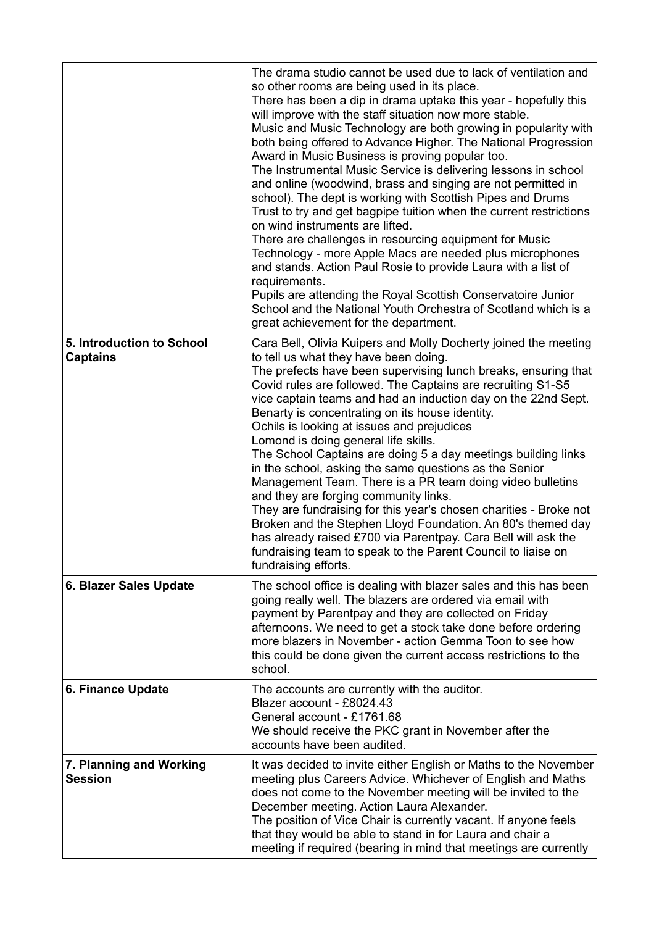|                                              | The drama studio cannot be used due to lack of ventilation and<br>so other rooms are being used in its place.<br>There has been a dip in drama uptake this year - hopefully this<br>will improve with the staff situation now more stable.<br>Music and Music Technology are both growing in popularity with<br>both being offered to Advance Higher. The National Progression<br>Award in Music Business is proving popular too.<br>The Instrumental Music Service is delivering lessons in school<br>and online (woodwind, brass and singing are not permitted in<br>school). The dept is working with Scottish Pipes and Drums<br>Trust to try and get bagpipe tuition when the current restrictions<br>on wind instruments are lifted.<br>There are challenges in resourcing equipment for Music<br>Technology - more Apple Macs are needed plus microphones<br>and stands. Action Paul Rosie to provide Laura with a list of<br>requirements.<br>Pupils are attending the Royal Scottish Conservatoire Junior<br>School and the National Youth Orchestra of Scotland which is a<br>great achievement for the department. |
|----------------------------------------------|-------------------------------------------------------------------------------------------------------------------------------------------------------------------------------------------------------------------------------------------------------------------------------------------------------------------------------------------------------------------------------------------------------------------------------------------------------------------------------------------------------------------------------------------------------------------------------------------------------------------------------------------------------------------------------------------------------------------------------------------------------------------------------------------------------------------------------------------------------------------------------------------------------------------------------------------------------------------------------------------------------------------------------------------------------------------------------------------------------------------------------|
| 5. Introduction to School<br><b>Captains</b> | Cara Bell, Olivia Kuipers and Molly Docherty joined the meeting<br>to tell us what they have been doing.<br>The prefects have been supervising lunch breaks, ensuring that<br>Covid rules are followed. The Captains are recruiting S1-S5<br>vice captain teams and had an induction day on the 22nd Sept.<br>Benarty is concentrating on its house identity.<br>Ochils is looking at issues and prejudices<br>Lomond is doing general life skills.<br>The School Captains are doing 5 a day meetings building links<br>in the school, asking the same questions as the Senior<br>Management Team. There is a PR team doing video bulletins<br>and they are forging community links.<br>They are fundraising for this year's chosen charities - Broke not<br>Broken and the Stephen Lloyd Foundation. An 80's themed day<br>has already raised £700 via Parentpay. Cara Bell will ask the<br>fundraising team to speak to the Parent Council to liaise on<br>fundraising efforts.                                                                                                                                             |
| 6. Blazer Sales Update                       | The school office is dealing with blazer sales and this has been<br>going really well. The blazers are ordered via email with<br>payment by Parentpay and they are collected on Friday<br>afternoons. We need to get a stock take done before ordering<br>more blazers in November - action Gemma Toon to see how<br>this could be done given the current access restrictions to the<br>school.                                                                                                                                                                                                                                                                                                                                                                                                                                                                                                                                                                                                                                                                                                                               |
| 6. Finance Update                            | The accounts are currently with the auditor.<br>Blazer account - £8024.43<br>General account - £1761.68<br>We should receive the PKC grant in November after the<br>accounts have been audited.                                                                                                                                                                                                                                                                                                                                                                                                                                                                                                                                                                                                                                                                                                                                                                                                                                                                                                                               |
| 7. Planning and Working<br><b>Session</b>    | It was decided to invite either English or Maths to the November<br>meeting plus Careers Advice. Whichever of English and Maths<br>does not come to the November meeting will be invited to the<br>December meeting. Action Laura Alexander.<br>The position of Vice Chair is currently vacant. If anyone feels<br>that they would be able to stand in for Laura and chair a<br>meeting if required (bearing in mind that meetings are currently                                                                                                                                                                                                                                                                                                                                                                                                                                                                                                                                                                                                                                                                              |